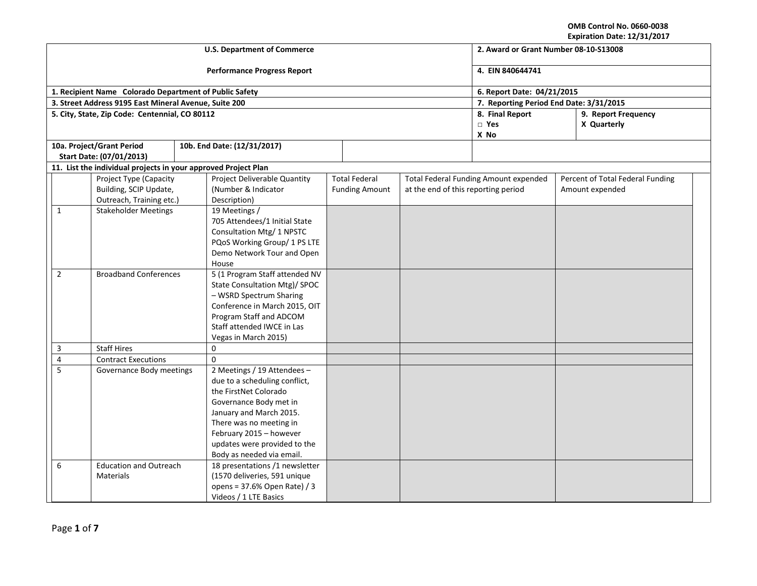**OMB Control No. 0660-0038**

| Expiration Date: 12/31/2017 |  |  |  |
|-----------------------------|--|--|--|
|-----------------------------|--|--|--|

| <b>U.S. Department of Commerce</b> |                                                                |                                                        |                                                          |                            |                       |                                     | 2. Award or Grant Number 08-10-S13008        |  |                                  |  |
|------------------------------------|----------------------------------------------------------------|--------------------------------------------------------|----------------------------------------------------------|----------------------------|-----------------------|-------------------------------------|----------------------------------------------|--|----------------------------------|--|
|                                    |                                                                | <b>Performance Progress Report</b>                     | 4. EIN 840644741                                         |                            |                       |                                     |                                              |  |                                  |  |
|                                    |                                                                | 1. Recipient Name Colorado Department of Public Safety |                                                          | 6. Report Date: 04/21/2015 |                       |                                     |                                              |  |                                  |  |
|                                    | 3. Street Address 9195 East Mineral Avenue, Suite 200          |                                                        |                                                          |                            |                       |                                     | 7. Reporting Period End Date: 3/31/2015      |  |                                  |  |
|                                    | 5. City, State, Zip Code: Centennial, CO 80112                 |                                                        |                                                          |                            |                       |                                     | 8. Final Report                              |  | 9. Report Frequency              |  |
|                                    |                                                                |                                                        |                                                          |                            |                       |                                     | $\square$ Yes                                |  | X Quarterly                      |  |
|                                    | 10a. Project/Grant Period                                      |                                                        |                                                          |                            |                       |                                     | X No                                         |  |                                  |  |
|                                    | Start Date: (07/01/2013)                                       |                                                        | 10b. End Date: (12/31/2017)                              |                            |                       |                                     |                                              |  |                                  |  |
|                                    | 11. List the individual projects in your approved Project Plan |                                                        |                                                          |                            |                       |                                     |                                              |  |                                  |  |
|                                    | Project Type (Capacity                                         |                                                        | Project Deliverable Quantity                             |                            | <b>Total Federal</b>  |                                     | <b>Total Federal Funding Amount expended</b> |  | Percent of Total Federal Funding |  |
|                                    | Building, SCIP Update,                                         |                                                        | (Number & Indicator                                      |                            | <b>Funding Amount</b> | at the end of this reporting period |                                              |  | Amount expended                  |  |
|                                    | Outreach, Training etc.)                                       |                                                        | Description)                                             |                            |                       |                                     |                                              |  |                                  |  |
| $\mathbf{1}$                       | <b>Stakeholder Meetings</b>                                    |                                                        | 19 Meetings /                                            |                            |                       |                                     |                                              |  |                                  |  |
|                                    |                                                                |                                                        | 705 Attendees/1 Initial State                            |                            |                       |                                     |                                              |  |                                  |  |
|                                    |                                                                |                                                        | Consultation Mtg/ 1 NPSTC                                |                            |                       |                                     |                                              |  |                                  |  |
|                                    |                                                                |                                                        | PQoS Working Group/ 1 PS LTE                             |                            |                       |                                     |                                              |  |                                  |  |
|                                    |                                                                |                                                        | Demo Network Tour and Open                               |                            |                       |                                     |                                              |  |                                  |  |
|                                    |                                                                |                                                        | House                                                    |                            |                       |                                     |                                              |  |                                  |  |
| $\overline{2}$                     | <b>Broadband Conferences</b>                                   |                                                        | 5 (1 Program Staff attended NV                           |                            |                       |                                     |                                              |  |                                  |  |
|                                    |                                                                |                                                        | State Consultation Mtg)/ SPOC                            |                            |                       |                                     |                                              |  |                                  |  |
|                                    |                                                                |                                                        | - WSRD Spectrum Sharing<br>Conference in March 2015, OIT |                            |                       |                                     |                                              |  |                                  |  |
|                                    |                                                                |                                                        | Program Staff and ADCOM                                  |                            |                       |                                     |                                              |  |                                  |  |
|                                    |                                                                |                                                        | Staff attended IWCE in Las                               |                            |                       |                                     |                                              |  |                                  |  |
|                                    |                                                                |                                                        | Vegas in March 2015)                                     |                            |                       |                                     |                                              |  |                                  |  |
| 3                                  | <b>Staff Hires</b>                                             |                                                        | $\mathbf 0$                                              |                            |                       |                                     |                                              |  |                                  |  |
| $\overline{\mathbf{4}}$            | <b>Contract Executions</b>                                     |                                                        | $\Omega$                                                 |                            |                       |                                     |                                              |  |                                  |  |
| 5                                  | Governance Body meetings                                       |                                                        | 2 Meetings / 19 Attendees -                              |                            |                       |                                     |                                              |  |                                  |  |
|                                    |                                                                |                                                        | due to a scheduling conflict,                            |                            |                       |                                     |                                              |  |                                  |  |
|                                    |                                                                |                                                        | the FirstNet Colorado                                    |                            |                       |                                     |                                              |  |                                  |  |
|                                    |                                                                |                                                        | Governance Body met in                                   |                            |                       |                                     |                                              |  |                                  |  |
|                                    |                                                                |                                                        | January and March 2015.                                  |                            |                       |                                     |                                              |  |                                  |  |
|                                    |                                                                |                                                        | There was no meeting in                                  |                            |                       |                                     |                                              |  |                                  |  |
|                                    |                                                                | February 2015 - however                                |                                                          |                            |                       |                                     |                                              |  |                                  |  |
|                                    |                                                                |                                                        | updates were provided to the                             |                            |                       |                                     |                                              |  |                                  |  |
|                                    |                                                                |                                                        | Body as needed via email.                                |                            |                       |                                     |                                              |  |                                  |  |
| 6                                  | <b>Education and Outreach</b>                                  |                                                        | 18 presentations /1 newsletter                           |                            |                       |                                     |                                              |  |                                  |  |
|                                    | <b>Materials</b>                                               |                                                        | (1570 deliveries, 591 unique                             |                            |                       |                                     |                                              |  |                                  |  |
|                                    |                                                                |                                                        | opens = 37.6% Open Rate) / 3                             |                            |                       |                                     |                                              |  |                                  |  |
|                                    |                                                                |                                                        | Videos / 1 LTE Basics                                    |                            |                       |                                     |                                              |  |                                  |  |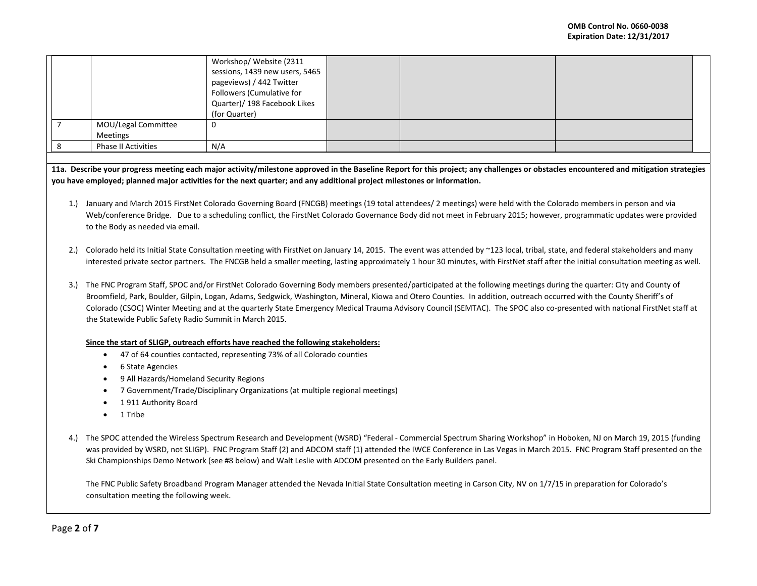|                     | Workshop/ Website (2311        |  |  |
|---------------------|--------------------------------|--|--|
|                     | sessions, 1439 new users, 5465 |  |  |
|                     | pageviews) / 442 Twitter       |  |  |
|                     | Followers (Cumulative for      |  |  |
|                     | Quarter)/ 198 Facebook Likes   |  |  |
|                     | (for Quarter)                  |  |  |
| MOU/Legal Committee | U                              |  |  |
| Meetings            |                                |  |  |
| Phase II Activities | N/A                            |  |  |

**11a. Describe your progress meeting each major activity/milestone approved in the Baseline Report for this project; any challenges or obstacles encountered and mitigation strategies you have employed; planned major activities for the next quarter; and any additional project milestones or information.**

- 1.) January and March 2015 FirstNet Colorado Governing Board (FNCGB) meetings (19 total attendees/ 2 meetings) were held with the Colorado members in person and via Web/conference Bridge. Due to a scheduling conflict, the FirstNet Colorado Governance Body did not meet in February 2015; however, programmatic updates were provided to the Body as needed via email.
- 2.) Colorado held its Initial State Consultation meeting with FirstNet on January 14, 2015. The event was attended by ~123 local, tribal, state, and federal stakeholders and many interested private sector partners. The FNCGB held a smaller meeting, lasting approximately 1 hour 30 minutes, with FirstNet staff after the initial consultation meeting as well.
- 3.) The FNC Program Staff, SPOC and/or FirstNet Colorado Governing Body members presented/participated at the following meetings during the quarter: City and County of Broomfield, Park, Boulder, Gilpin, Logan, Adams, Sedgwick, Washington, Mineral, Kiowa and Otero Counties. In addition, outreach occurred with the County Sheriff's of Colorado (CSOC) Winter Meeting and at the quarterly State Emergency Medical Trauma Advisory Council (SEMTAC). The SPOC also co-presented with national FirstNet staff at the Statewide Public Safety Radio Summit in March 2015.

## **Since the start of SLIGP, outreach efforts have reached the following stakeholders:**

- 47 of 64 counties contacted, representing 73% of all Colorado counties
- 6 State Agencies
- 9 All Hazards/Homeland Security Regions
- 7 Government/Trade/Disciplinary Organizations (at multiple regional meetings)
- 1 911 Authority Board
- 1 Tribe
- 4.) The SPOC attended the Wireless Spectrum Research and Development (WSRD) "Federal Commercial Spectrum Sharing Workshop" in Hoboken, NJ on March 19, 2015 (funding was provided by WSRD, not SLIGP). FNC Program Staff (2) and ADCOM staff (1) attended the IWCE Conference in Las Vegas in March 2015. FNC Program Staff presented on the Ski Championships Demo Network (see #8 below) and Walt Leslie with ADCOM presented on the Early Builders panel.

The FNC Public Safety Broadband Program Manager attended the Nevada Initial State Consultation meeting in Carson City, NV on 1/7/15 in preparation for Colorado's consultation meeting the following week.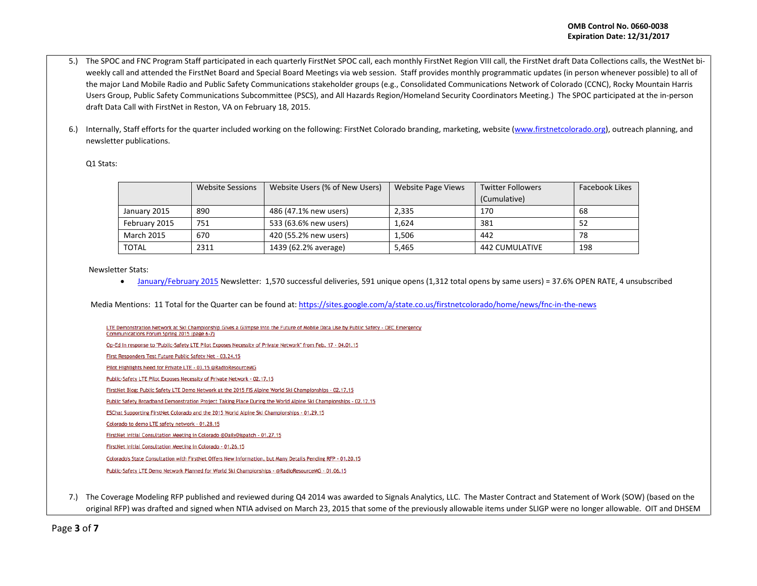- 5.) The SPOC and FNC Program Staff participated in each quarterly FirstNet SPOC call, each monthly FirstNet Region VIII call, the FirstNet draft Data Collections calls, the WestNet biweekly call and attended the FirstNet Board and Special Board Meetings via web session. Staff provides monthly programmatic updates (in person whenever possible) to all of the major Land Mobile Radio and Public Safety Communications stakeholder groups (e.g., Consolidated Communications Network of Colorado (CCNC), Rocky Mountain Harris Users Group, Public Safety Communications Subcommittee (PSCS), and All Hazards Region/Homeland Security Coordinators Meeting.) The SPOC participated at the in-person draft Data Call with FirstNet in Reston, VA on February 18, 2015.
- 6.) Internally, Staff efforts for the quarter included working on the following: FirstNet Colorado branding, marketing, website [\(www.firstnetcolorado.org\)](http://www.firstnetcolorado.org/), outreach planning, and newsletter publications.

#### Q1 Stats:

|                   | <b>Website Sessions</b> | Website Users (% of New Users) | Website Page Views | <b>Twitter Followers</b> | Facebook Likes |
|-------------------|-------------------------|--------------------------------|--------------------|--------------------------|----------------|
|                   |                         |                                |                    | (Cumulative)             |                |
| January 2015      | 890                     | 486 (47.1% new users)          | 2,335              | 170                      | 68             |
| February 2015     | 751                     | 533 (63.6% new users)          | 1.624              | 381                      | 52             |
| <b>March 2015</b> | 670                     | 420 (55.2% new users)          | 1,506              | 442                      | 78             |
| TOTAL             | 2311                    | 1439 (62.2% average)           | 5,465              | <b>442 CUMULATIVE</b>    | 198            |

Newsletter Stats:

• [January/February 2015](http://eepurl.com/bdt4FD) Newsletter: 1,570 successful deliveries, 591 unique opens (1,312 total opens by same users) = 37.6% OPEN RATE, 4 unsubscribed

Media Mentions: 11 Total for the Quarter can be found at[: https://sites.google.com/a/state.co.us/firstnetcolorado/home/news/fnc-in-the-news](https://sites.google.com/a/state.co.us/firstnetcolorado/home/news/fnc-in-the-news)

LTE Demonstration Network at Ski Championship Gives a Glimpse into the Future of Mobile Data Use by Public Safety - OEC Emergency Communications Forum Spring 2015 (page 6-7) Op-Ed In response to "Public-Safety LTE Pilot Exposes Necessity of Private Network" from Feb. 17 - 04.01.15 First Responders Test Future Public Safety Net - 03.24.15 Pilot Highlights Need for Private LTE - 03.15 @RadioResourceMG Public-Safety LTE Pilot Exposes Necessity of Private Network - 02.17.15 FirstNet Blog: Public Safety LTE Demo Network at the 2015 FIS Alpine World Ski Championships - 02.17.15 Public Safety Broadband Demonstration Project Taking Place During the World Alpine Ski Championships - 02.12.15 ESChat Supporting FirstNet Colorado and the 2015 World Alpine Ski Championships - 01.29.15 Colorado to demo LTE safety network - 01.28.15 FirstNet Initial Consultation Meeting in Colorado @DailyDispatch - 01.27.15 FirstNet Initial Consultation Meeting in Colorado - 01.26.15 Colorado's State Consultation with FirstNet Offers New Information, but Many Details Pending RFP - 01.20.15

Public-Safety LTE Demo Network Planned for World Ski Championships - @RadioResourceMG - 01.06.15

7.) The Coverage Modeling RFP published and reviewed during Q4 2014 was awarded to Signals Analytics, LLC. The Master Contract and Statement of Work (SOW) (based on the original RFP) was drafted and signed when NTIA advised on March 23, 2015 that some of the previously allowable items under SLIGP were no longer allowable. OIT and DHSEM

Page **3** of **7**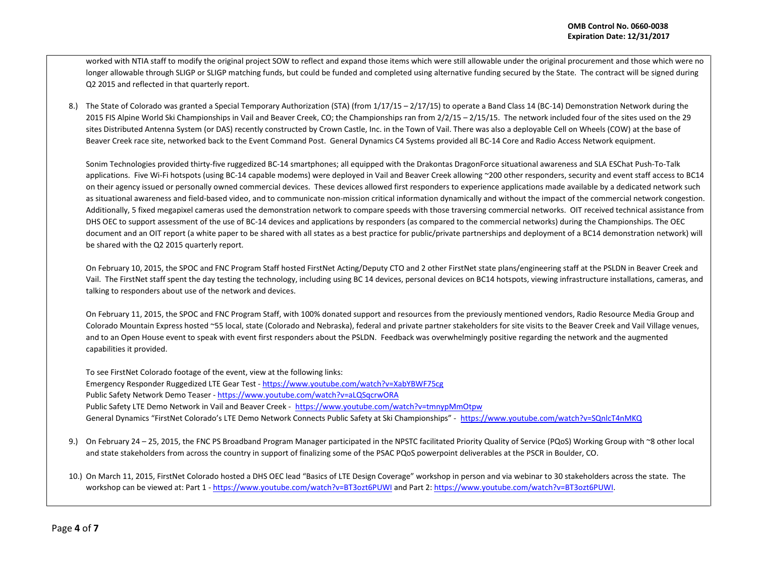worked with NTIA staff to modify the original project SOW to reflect and expand those items which were still allowable under the original procurement and those which were no longer allowable through SLIGP or SLIGP matching funds, but could be funded and completed using alternative funding secured by the State. The contract will be signed during Q2 2015 and reflected in that quarterly report.

8.) The State of Colorado was granted a Special Temporary Authorization (STA) (from  $1/17/15 - 2/17/15$ ) to operate a Band Class 14 (BC-14) Demonstration Network during the 2015 FIS Alpine World Ski Championships in Vail and Beaver Creek, CO; the Championships ran from  $2/2/15 - 2/15/15$ . The network included four of the sites used on the 29 sites Distributed Antenna System (or DAS) recently constructed by Crown Castle, Inc. in the Town of Vail. There was also a deployable Cell on Wheels (COW) at the base of Beaver Creek race site, networked back to the Event Command Post. General Dynamics C4 Systems provided all BC-14 Core and Radio Access Network equipment.

Sonim Technologies provided thirty-five ruggedized BC-14 smartphones; all equipped with the Drakontas DragonForce situational awareness and SLA ESChat Push-To-Talk applications. Five Wi-Fi hotspots (using BC-14 capable modems) were deployed in Vail and Beaver Creek allowing ~200 other responders, security and event staff access to BC14 on their agency issued or personally owned commercial devices. These devices allowed first responders to experience applications made available by a dedicated network such as situational awareness and field-based video, and to communicate non-mission critical information dynamically and without the impact of the commercial network congestion. Additionally, 5 fixed megapixel cameras used the demonstration network to compare speeds with those traversing commercial networks. OIT received technical assistance from DHS OEC to support assessment of the use of BC-14 devices and applications by responders (as compared to the commercial networks) during the Championships. The OEC document and an OIT report (a white paper to be shared with all states as a best practice for public/private partnerships and deployment of a BC14 demonstration network) will be shared with the Q2 2015 quarterly report.

On February 10, 2015, the SPOC and FNC Program Staff hosted FirstNet Acting/Deputy CTO and 2 other FirstNet state plans/engineering staff at the PSLDN in Beaver Creek and Vail. The FirstNet staff spent the day testing the technology, including using BC 14 devices, personal devices on BC14 hotspots, viewing infrastructure installations, cameras, and talking to responders about use of the network and devices.

On February 11, 2015, the SPOC and FNC Program Staff, with 100% donated support and resources from the previously mentioned vendors, Radio Resource Media Group and Colorado Mountain Express hosted ~55 local, state (Colorado and Nebraska), federal and private partner stakeholders for site visits to the Beaver Creek and Vail Village venues, and to an Open House event to speak with event first responders about the PSLDN. Feedback was overwhelmingly positive regarding the network and the augmented capabilities it provided.

To see FirstNet Colorado footage of the event, view at the following links: Emergency Responder Ruggedized LTE Gear Test - <https://www.youtube.com/watch?v=XabYBWF75cg> Public Safety Network Demo Teaser - <https://www.youtube.com/watch?v=aLQSqcrwORA> Public Safety LTE Demo Network in Vail and Beaver Creek - <https://www.youtube.com/watch?v=tmnypMmOtpw> General Dynamics "FirstNet Colorado's LTE Demo Network Connects Public Safety at Ski Championships" - <https://www.youtube.com/watch?v=SQnlcT4nMKQ>

- 9.) On February 24 25, 2015, the FNC PS Broadband Program Manager participated in the NPSTC facilitated Priority Quality of Service (PQoS) Working Group with ~8 other local and state stakeholders from across the country in support of finalizing some of the PSAC PQoS powerpoint deliverables at the PSCR in Boulder, CO.
- 10.) On March 11, 2015, FirstNet Colorado hosted a DHS OEC lead "Basics of LTE Design Coverage" workshop in person and via webinar to 30 stakeholders across the state. The workshop can be viewed at: Part 1 - <https://www.youtube.com/watch?v=BT3ozt6PUWI> and Part 2: https://www.youtube.com/watch?v=BT3ozt6PUWI.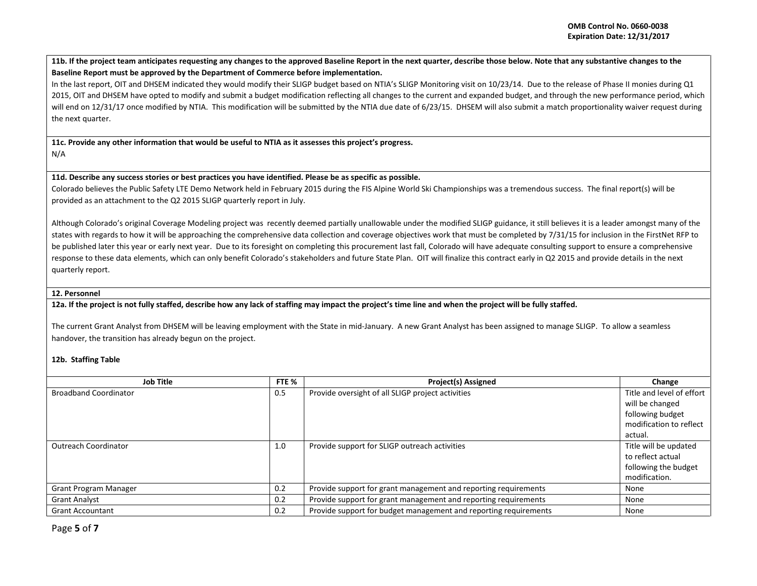**11b. If the project team anticipates requesting any changes to the approved Baseline Report in the next quarter, describe those below. Note that any substantive changes to the Baseline Report must be approved by the Department of Commerce before implementation.** 

In the last report, OIT and DHSEM indicated they would modify their SLIGP budget based on NTIA's SLIGP Monitoring visit on 10/23/14. Due to the release of Phase II monies during Q1 2015, OIT and DHSEM have opted to modify and submit a budget modification reflecting all changes to the current and expanded budget, and through the new performance period, which will end on 12/31/17 once modified by NTIA. This modification will be submitted by the NTIA due date of 6/23/15. DHSEM will also submit a match proportionality waiver request during the next quarter.

**11c. Provide any other information that would be useful to NTIA as it assesses this project's progress.**  N/A

**11d. Describe any success stories or best practices you have identified. Please be as specific as possible.**

Colorado believes the Public Safety LTE Demo Network held in February 2015 during the FIS Alpine World Ski Championships was a tremendous success. The final report(s) will be provided as an attachment to the Q2 2015 SLIGP quarterly report in July.

Although Colorado's original Coverage Modeling project was recently deemed partially unallowable under the modified SLIGP guidance, it still believes it is a leader amongst many of the states with regards to how it will be approaching the comprehensive data collection and coverage objectives work that must be completed by 7/31/15 for inclusion in the FirstNet RFP to be published later this year or early next year. Due to its foresight on completing this procurement last fall, Colorado will have adequate consulting support to ensure a comprehensive response to these data elements, which can only benefit Colorado's stakeholders and future State Plan. OIT will finalize this contract early in Q2 2015 and provide details in the next quarterly report.

### **12. Personnel**

**12a. If the project is not fully staffed, describe how any lack of staffing may impact the project's time line and when the project will be fully staffed.** 

The current Grant Analyst from DHSEM will be leaving employment with the State in mid-January. A new Grant Analyst has been assigned to manage SLIGP. To allow a seamless handover, the transition has already begun on the project.

### **12b. Staffing Table**

| <b>Job Title</b>             | FTE % | <b>Project(s) Assigned</b>                                       | Change                    |
|------------------------------|-------|------------------------------------------------------------------|---------------------------|
| <b>Broadband Coordinator</b> | 0.5   | Provide oversight of all SLIGP project activities                | Title and level of effort |
|                              |       |                                                                  | will be changed           |
|                              |       |                                                                  | following budget          |
|                              |       |                                                                  | modification to reflect   |
|                              |       |                                                                  | actual.                   |
| <b>Outreach Coordinator</b>  | 1.0   | Provide support for SLIGP outreach activities                    | Title will be updated     |
|                              |       |                                                                  | to reflect actual         |
|                              |       |                                                                  | following the budget      |
|                              |       |                                                                  | modification.             |
| <b>Grant Program Manager</b> | 0.2   | Provide support for grant management and reporting requirements  | None                      |
| <b>Grant Analyst</b>         | 0.2   | Provide support for grant management and reporting requirements  | None                      |
| <b>Grant Accountant</b>      | 0.2   | Provide support for budget management and reporting requirements | None                      |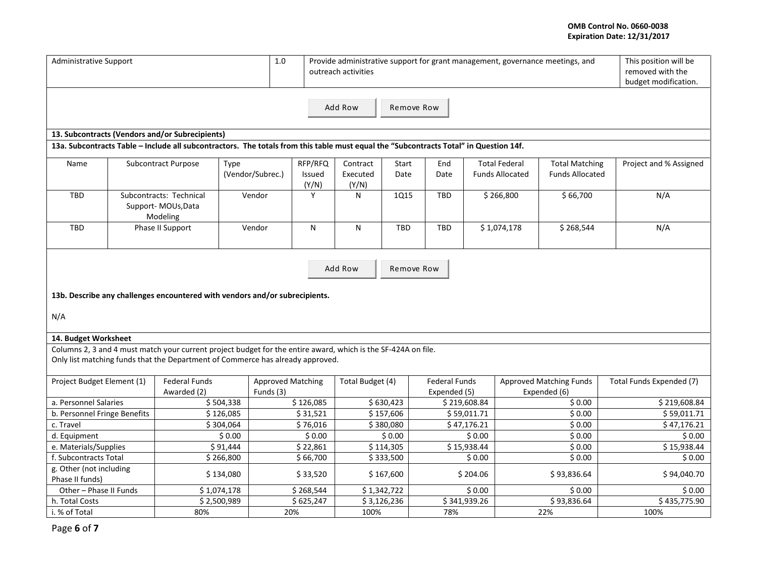# **OMB Control No. 0660-0038 Expiration Date: 12/31/2017**

| $1.0$<br><b>Administrative Support</b><br>Provide administrative support for grant management, governance meetings, and<br>outreach activities |                       |                                                                                                                                                                                                 |                           |                                       |                 |                   |                           | This position will be<br>removed with the | budget modification. |                        |                                                |                          |                        |
|------------------------------------------------------------------------------------------------------------------------------------------------|-----------------------|-------------------------------------------------------------------------------------------------------------------------------------------------------------------------------------------------|---------------------------|---------------------------------------|-----------------|-------------------|---------------------------|-------------------------------------------|----------------------|------------------------|------------------------------------------------|--------------------------|------------------------|
|                                                                                                                                                | Add Row<br>Remove Row |                                                                                                                                                                                                 |                           |                                       |                 |                   |                           |                                           |                      |                        |                                                |                          |                        |
|                                                                                                                                                |                       | 13. Subcontracts (Vendors and/or Subrecipients)                                                                                                                                                 |                           |                                       |                 |                   |                           |                                           |                      |                        |                                                |                          |                        |
|                                                                                                                                                |                       | 13a. Subcontracts Table - Include all subcontractors. The totals from this table must equal the "Subcontracts Total" in Question 14f.                                                           |                           |                                       |                 |                   |                           |                                           |                      |                        |                                                |                          |                        |
| Name                                                                                                                                           |                       | <b>Subcontract Purpose</b>                                                                                                                                                                      | Type                      |                                       | RFP/RFQ         | Contract          | Start                     | End                                       |                      | <b>Total Federal</b>   | <b>Total Matching</b>                          |                          | Project and % Assigned |
|                                                                                                                                                |                       |                                                                                                                                                                                                 |                           | (Vendor/Subrec.)                      | Issued<br>(Y/N) | Executed<br>(Y/N) | Date                      | Date                                      |                      | <b>Funds Allocated</b> | <b>Funds Allocated</b>                         |                          |                        |
| <b>TBD</b>                                                                                                                                     |                       | Subcontracts: Technical<br>Support-MOUs, Data<br>Modeling                                                                                                                                       |                           | Vendor                                | Y               | N                 | <b>1Q15</b>               | <b>TBD</b>                                |                      | \$266,800              | \$66,700                                       |                          | N/A                    |
| TBD                                                                                                                                            |                       | Phase II Support                                                                                                                                                                                |                           | Vendor                                | N               | N                 | TBD                       | <b>TBD</b>                                |                      | \$1,074,178            | \$268,544                                      |                          | N/A                    |
| Add Row<br>Remove Row<br>13b. Describe any challenges encountered with vendors and/or subrecipients.<br>N/A                                    |                       |                                                                                                                                                                                                 |                           |                                       |                 |                   |                           |                                           |                      |                        |                                                |                          |                        |
| 14. Budget Worksheet                                                                                                                           |                       |                                                                                                                                                                                                 |                           |                                       |                 |                   |                           |                                           |                      |                        |                                                |                          |                        |
|                                                                                                                                                |                       | Columns 2, 3 and 4 must match your current project budget for the entire award, which is the SF-424A on file.<br>Only list matching funds that the Department of Commerce has already approved. |                           |                                       |                 |                   |                           |                                           |                      |                        |                                                |                          |                        |
| Project Budget Element (1)                                                                                                                     |                       | Federal Funds<br>Awarded (2)                                                                                                                                                                    |                           | <b>Approved Matching</b><br>Funds (3) |                 | Total Budget (4)  |                           | <b>Federal Funds</b><br>Expended (5)      |                      |                        | <b>Approved Matching Funds</b><br>Expended (6) | Total Funds Expended (7) |                        |
| a. Personnel Salaries                                                                                                                          |                       |                                                                                                                                                                                                 | \$504,338                 |                                       | \$126,085       |                   | \$630,423<br>\$219,608.84 |                                           | \$0.00               | \$219,608.84           |                                                |                          |                        |
| b. Personnel Fringe Benefits                                                                                                                   |                       |                                                                                                                                                                                                 | \$126,085                 |                                       | \$31,521        |                   | \$157,606                 |                                           | \$59,011.71          |                        | \$0.00                                         | \$59,011.71              |                        |
| c. Travel                                                                                                                                      |                       |                                                                                                                                                                                                 | \$304,064                 |                                       | \$76,016        |                   | \$380,080                 |                                           | \$47.176.21          |                        | \$0.00                                         |                          | \$47,176.21            |
| d. Equipment                                                                                                                                   |                       |                                                                                                                                                                                                 | \$0.00                    |                                       | \$0.00          |                   | \$0.00                    |                                           | \$0.00               |                        | \$0.00                                         |                          | \$0.00                 |
| e. Materials/Supplies<br>\$91,444                                                                                                              |                       |                                                                                                                                                                                                 | \$22,861                  |                                       | \$114,305       |                   | \$15,938.44               |                                           | \$0.00               |                        | \$15,938.44                                    |                          |                        |
| f. Subcontracts Total                                                                                                                          |                       |                                                                                                                                                                                                 | \$266,800                 |                                       | \$66,700        |                   | \$333,500                 |                                           | \$0.00               |                        | \$0.00                                         |                          | \$0.00                 |
| g. Other (not including<br>Phase II funds)                                                                                                     |                       |                                                                                                                                                                                                 | \$134,080                 |                                       | \$33,520        |                   | \$167,600                 | \$204.06                                  |                      |                        | \$93,836.64                                    |                          | \$94,040.70            |
| Other - Phase II Funds                                                                                                                         |                       |                                                                                                                                                                                                 | \$1,074,178               |                                       | \$268,544       |                   | \$1,342,722               |                                           | \$0.00               |                        | \$0.00                                         |                          | \$0.00                 |
| h. Total Costs                                                                                                                                 |                       |                                                                                                                                                                                                 | \$2,500,989               |                                       | \$625,247       |                   | \$3,126,236               |                                           | \$341,939.26         |                        | \$93,836.64                                    |                          | \$435,775.90           |
| i. % of Total<br>80%                                                                                                                           |                       |                                                                                                                                                                                                 | 20%<br>78%<br>22%<br>100% |                                       |                 |                   |                           | 100%                                      |                      |                        |                                                |                          |                        |